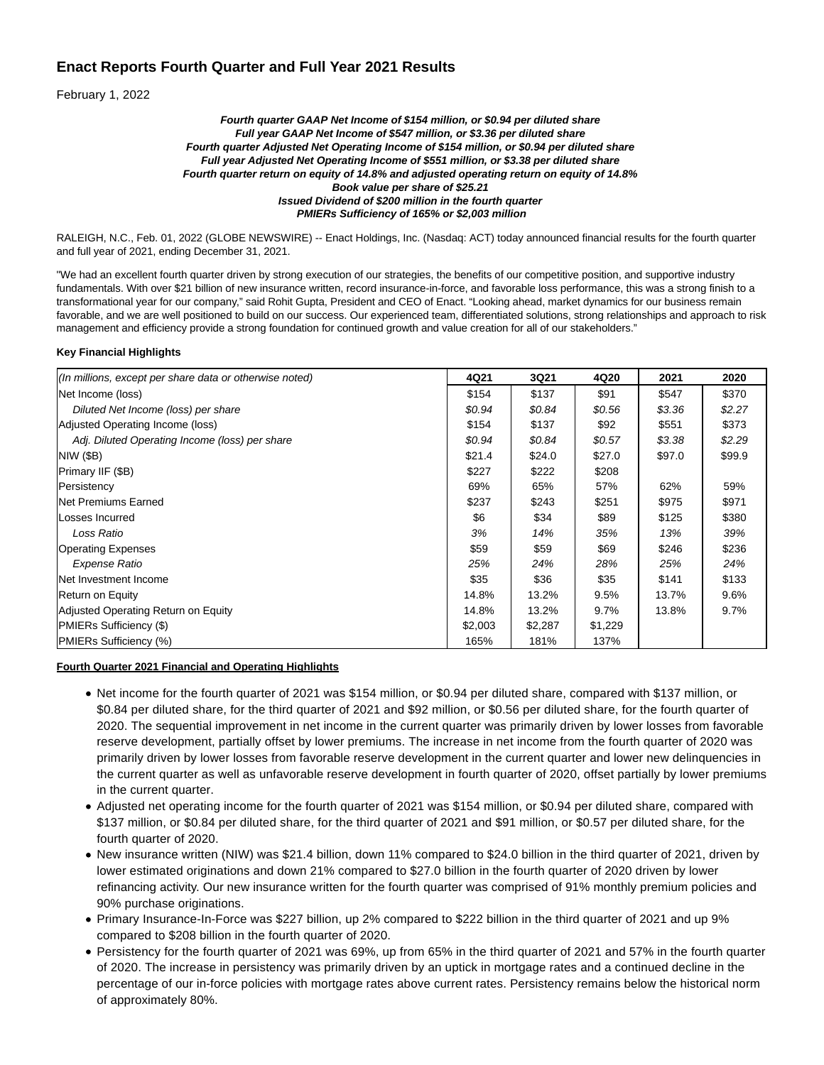# **Enact Reports Fourth Quarter and Full Year 2021 Results**

February 1, 2022

#### **Fourth quarter GAAP Net Income of \$154 million, or \$0.94 per diluted share Full year GAAP Net Income of \$547 million, or \$3.36 per diluted share Fourth quarter Adjusted Net Operating Income of \$154 million, or \$0.94 per diluted share Full year Adjusted Net Operating Income of \$551 million, or \$3.38 per diluted share Fourth quarter return on equity of 14.8% and adjusted operating return on equity of 14.8% Book value per share of \$25.21 Issued Dividend of \$200 million in the fourth quarter PMIERs Sufficiency of 165% or \$2,003 million**

RALEIGH, N.C., Feb. 01, 2022 (GLOBE NEWSWIRE) -- Enact Holdings, Inc. (Nasdaq: ACT) today announced financial results for the fourth quarter and full year of 2021, ending December 31, 2021.

"We had an excellent fourth quarter driven by strong execution of our strategies, the benefits of our competitive position, and supportive industry fundamentals. With over \$21 billion of new insurance written, record insurance-in-force, and favorable loss performance, this was a strong finish to a transformational year for our company," said Rohit Gupta, President and CEO of Enact. "Looking ahead, market dynamics for our business remain favorable, and we are well positioned to build on our success. Our experienced team, differentiated solutions, strong relationships and approach to risk management and efficiency provide a strong foundation for continued growth and value creation for all of our stakeholders."

#### **Key Financial Highlights**

| (In millions, except per share data or otherwise noted) | 4Q21    | 3Q21    | 4Q20    | 2021   | 2020   |
|---------------------------------------------------------|---------|---------|---------|--------|--------|
| Net Income (loss)                                       | \$154   | \$137   | \$91    | \$547  | \$370  |
| Diluted Net Income (loss) per share                     | \$0.94  | \$0.84  | \$0.56  | \$3.36 | \$2.27 |
| Adjusted Operating Income (loss)                        | \$154   | \$137   | \$92    | \$551  | \$373  |
| Adj. Diluted Operating Income (loss) per share          | \$0.94  | \$0.84  | \$0.57  | \$3.38 | \$2.29 |
| <b>NIW (\$B)</b>                                        | \$21.4  | \$24.0  | \$27.0  | \$97.0 | \$99.9 |
| Primary IIF (\$B)                                       | \$227   | \$222   | \$208   |        |        |
| Persistency                                             | 69%     | 65%     | 57%     | 62%    | 59%    |
| <b>Net Premiums Earned</b>                              | \$237   | \$243   | \$251   | \$975  | \$971  |
| Losses Incurred                                         | \$6     | \$34    | \$89    | \$125  | \$380  |
| Loss Ratio                                              | 3%      | 14%     | 35%     | 13%    | 39%    |
| <b>Operating Expenses</b>                               | \$59    | \$59    | \$69    | \$246  | \$236  |
| Expense Ratio                                           | 25%     | 24%     | 28%     | 25%    | 24%    |
| Net Investment Income                                   | \$35    | \$36    | \$35    | \$141  | \$133  |
| Return on Equity                                        | 14.8%   | 13.2%   | 9.5%    | 13.7%  | 9.6%   |
| Adjusted Operating Return on Equity                     | 14.8%   | 13.2%   | $9.7\%$ | 13.8%  | 9.7%   |
| PMIERs Sufficiency (\$)                                 | \$2,003 | \$2,287 | \$1,229 |        |        |
| PMIERs Sufficiency (%)                                  | 165%    | 181%    | 137%    |        |        |

#### **Fourth Quarter 2021 Financial and Operating Highlights**

- Net income for the fourth quarter of 2021 was \$154 million, or \$0.94 per diluted share, compared with \$137 million, or \$0.84 per diluted share, for the third quarter of 2021 and \$92 million, or \$0.56 per diluted share, for the fourth quarter of 2020. The sequential improvement in net income in the current quarter was primarily driven by lower losses from favorable reserve development, partially offset by lower premiums. The increase in net income from the fourth quarter of 2020 was primarily driven by lower losses from favorable reserve development in the current quarter and lower new delinquencies in the current quarter as well as unfavorable reserve development in fourth quarter of 2020, offset partially by lower premiums in the current quarter.
- Adjusted net operating income for the fourth quarter of 2021 was \$154 million, or \$0.94 per diluted share, compared with \$137 million, or \$0.84 per diluted share, for the third quarter of 2021 and \$91 million, or \$0.57 per diluted share, for the fourth quarter of 2020.
- New insurance written (NIW) was \$21.4 billion, down 11% compared to \$24.0 billion in the third quarter of 2021, driven by lower estimated originations and down 21% compared to \$27.0 billion in the fourth quarter of 2020 driven by lower refinancing activity. Our new insurance written for the fourth quarter was comprised of 91% monthly premium policies and 90% purchase originations.
- Primary Insurance-In-Force was \$227 billion, up 2% compared to \$222 billion in the third quarter of 2021 and up 9% compared to \$208 billion in the fourth quarter of 2020.
- Persistency for the fourth quarter of 2021 was 69%, up from 65% in the third quarter of 2021 and 57% in the fourth quarter of 2020. The increase in persistency was primarily driven by an uptick in mortgage rates and a continued decline in the percentage of our in-force policies with mortgage rates above current rates. Persistency remains below the historical norm of approximately 80%.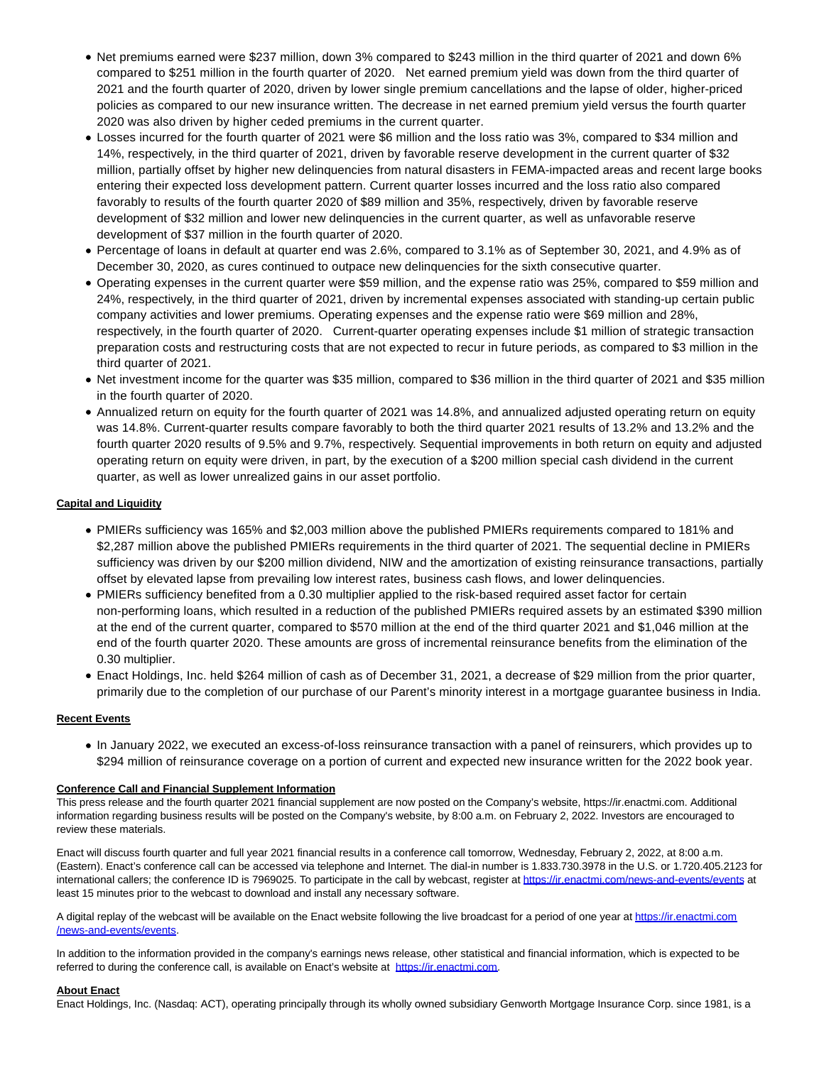- Net premiums earned were \$237 million, down 3% compared to \$243 million in the third quarter of 2021 and down 6% compared to \$251 million in the fourth quarter of 2020. Net earned premium yield was down from the third quarter of 2021 and the fourth quarter of 2020, driven by lower single premium cancellations and the lapse of older, higher-priced policies as compared to our new insurance written. The decrease in net earned premium yield versus the fourth quarter 2020 was also driven by higher ceded premiums in the current quarter.
- Losses incurred for the fourth quarter of 2021 were \$6 million and the loss ratio was 3%, compared to \$34 million and 14%, respectively, in the third quarter of 2021, driven by favorable reserve development in the current quarter of \$32 million, partially offset by higher new delinquencies from natural disasters in FEMA-impacted areas and recent large books entering their expected loss development pattern. Current quarter losses incurred and the loss ratio also compared favorably to results of the fourth quarter 2020 of \$89 million and 35%, respectively, driven by favorable reserve development of \$32 million and lower new delinquencies in the current quarter, as well as unfavorable reserve development of \$37 million in the fourth quarter of 2020.
- Percentage of loans in default at quarter end was 2.6%, compared to 3.1% as of September 30, 2021, and 4.9% as of December 30, 2020, as cures continued to outpace new delinquencies for the sixth consecutive quarter.
- Operating expenses in the current quarter were \$59 million, and the expense ratio was 25%, compared to \$59 million and 24%, respectively, in the third quarter of 2021, driven by incremental expenses associated with standing-up certain public company activities and lower premiums. Operating expenses and the expense ratio were \$69 million and 28%, respectively, in the fourth quarter of 2020. Current-quarter operating expenses include \$1 million of strategic transaction preparation costs and restructuring costs that are not expected to recur in future periods, as compared to \$3 million in the third quarter of 2021.
- Net investment income for the quarter was \$35 million, compared to \$36 million in the third quarter of 2021 and \$35 million in the fourth quarter of 2020.
- Annualized return on equity for the fourth quarter of 2021 was 14.8%, and annualized adjusted operating return on equity was 14.8%. Current-quarter results compare favorably to both the third quarter 2021 results of 13.2% and 13.2% and the fourth quarter 2020 results of 9.5% and 9.7%, respectively. Sequential improvements in both return on equity and adjusted operating return on equity were driven, in part, by the execution of a \$200 million special cash dividend in the current quarter, as well as lower unrealized gains in our asset portfolio.

### **Capital and Liquidity**

- PMIERs sufficiency was 165% and \$2,003 million above the published PMIERs requirements compared to 181% and \$2,287 million above the published PMIERs requirements in the third quarter of 2021. The sequential decline in PMIERs sufficiency was driven by our \$200 million dividend, NIW and the amortization of existing reinsurance transactions, partially offset by elevated lapse from prevailing low interest rates, business cash flows, and lower delinquencies.
- PMIERs sufficiency benefited from a 0.30 multiplier applied to the risk-based required asset factor for certain non-performing loans, which resulted in a reduction of the published PMIERs required assets by an estimated \$390 million at the end of the current quarter, compared to \$570 million at the end of the third quarter 2021 and \$1,046 million at the end of the fourth quarter 2020. These amounts are gross of incremental reinsurance benefits from the elimination of the 0.30 multiplier.
- Enact Holdings, Inc. held \$264 million of cash as of December 31, 2021, a decrease of \$29 million from the prior quarter, primarily due to the completion of our purchase of our Parent's minority interest in a mortgage guarantee business in India.

### **Recent Events**

In January 2022, we executed an excess-of-loss reinsurance transaction with a panel of reinsurers, which provides up to \$294 million of reinsurance coverage on a portion of current and expected new insurance written for the 2022 book year.

### **Conference Call and Financial Supplement Information**

This press release and the fourth quarter 2021 financial supplement are now posted on the Company's website, https://ir.enactmi.com. Additional information regarding business results will be posted on the Company's website, by 8:00 a.m. on February 2, 2022. Investors are encouraged to review these materials.

Enact will discuss fourth quarter and full year 2021 financial results in a conference call tomorrow, Wednesday, February 2, 2022, at 8:00 a.m. (Eastern). Enact's conference call can be accessed via telephone and Internet. The dial-in number is 1.833.730.3978 in the U.S. or 1.720.405.2123 for international callers; the conference ID is 7969025. To participate in the call by webcast, register at [https://ir.enactmi.com/news-and-events/events a](https://www.globenewswire.com/Tracker?data=ks5Oim9iPlV9BFawIHGqEX0kmOFmUDhiEiXavwkf2YvSt7o9TqGnkFI_LZX8ua6liO8OVjbTfTB0wwHTcqQ9Rfg6OTEVGg6ztjBYLI1XcWB5TsEVL19R3y0qkPiznnMSIDQ7dNtHs5uykOEsd65IJA==)t least 15 minutes prior to the webcast to download and install any necessary software.

A digital replay of the webcast will be available on the Enact website following the live broadcast for a period of one year a[t https://ir.enactmi.com](https://www.globenewswire.com/Tracker?data=ks5Oim9iPlV9BFawIHGqEX0kmOFmUDhiEiXavwkf2YvSt7o9TqGnkFI_LZX8ua6lBNzgDuOCCZMANtih-SEcOQUrWKWYwYAkzc4R8D2rwWUDv2UjN9hAogsL0b1FTjVcbcENyHYfCAcEPtUFN0LNr2O51bO_-5Q-KWPder2t4j4=) /news-and-events/events.

In addition to the information provided in the company's earnings news release, other statistical and financial information, which is expected to be referred to during the conference call, is available on Enact's website at [https://ir.enactmi.com.](https://www.globenewswire.com/Tracker?data=ks5Oim9iPlV9BFawIHGqEX0kmOFmUDhiEiXavwkf2YtMGmjZ_I14t_rjcLbYQD8-bDYW0i3kZl8SmIStTdOyDkCgkLwOz0ippzJfmqj2OCU=)

### **About Enact**

Enact Holdings, Inc. (Nasdaq: ACT), operating principally through its wholly owned subsidiary Genworth Mortgage Insurance Corp. since 1981, is a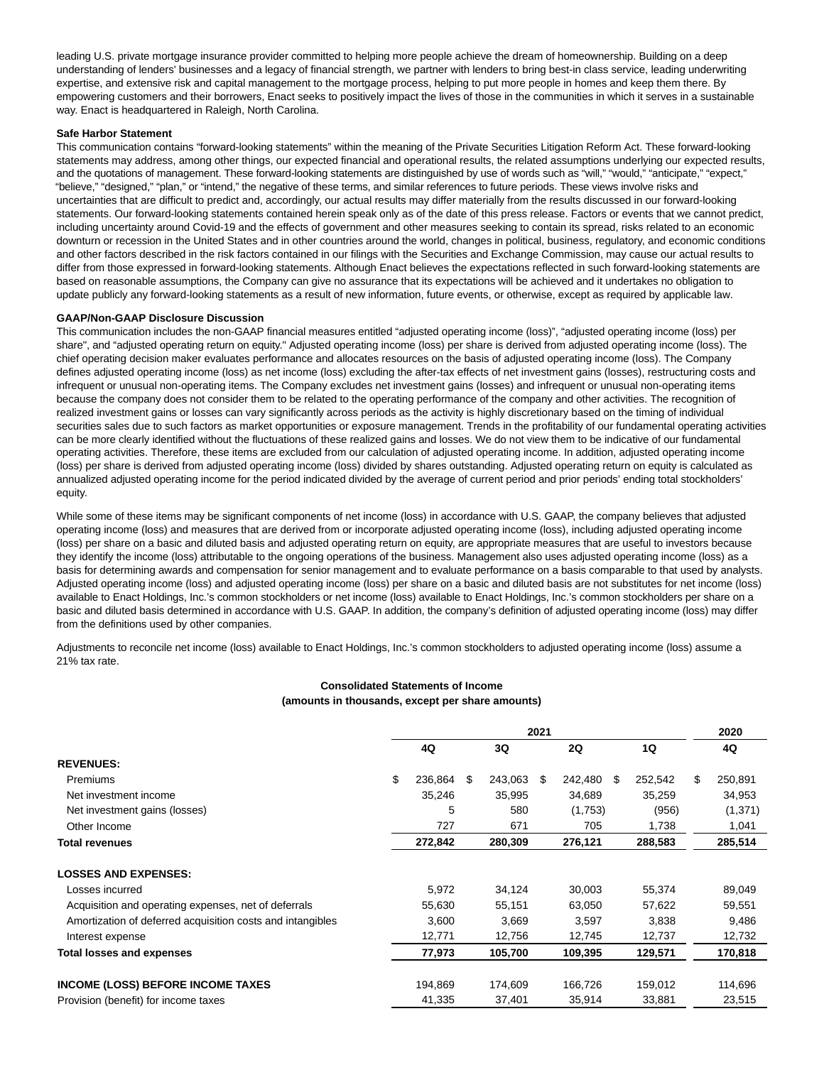leading U.S. private mortgage insurance provider committed to helping more people achieve the dream of homeownership. Building on a deep understanding of lenders' businesses and a legacy of financial strength, we partner with lenders to bring best-in class service, leading underwriting expertise, and extensive risk and capital management to the mortgage process, helping to put more people in homes and keep them there. By empowering customers and their borrowers, Enact seeks to positively impact the lives of those in the communities in which it serves in a sustainable way. Enact is headquartered in Raleigh, North Carolina.

#### **Safe Harbor Statement**

This communication contains "forward-looking statements" within the meaning of the Private Securities Litigation Reform Act. These forward-looking statements may address, among other things, our expected financial and operational results, the related assumptions underlying our expected results, and the quotations of management. These forward-looking statements are distinguished by use of words such as "will," "would," "anticipate," "expect," "believe," "designed," "plan," or "intend," the negative of these terms, and similar references to future periods. These views involve risks and uncertainties that are difficult to predict and, accordingly, our actual results may differ materially from the results discussed in our forward-looking statements. Our forward-looking statements contained herein speak only as of the date of this press release. Factors or events that we cannot predict, including uncertainty around Covid-19 and the effects of government and other measures seeking to contain its spread, risks related to an economic downturn or recession in the United States and in other countries around the world, changes in political, business, regulatory, and economic conditions and other factors described in the risk factors contained in our filings with the Securities and Exchange Commission, may cause our actual results to differ from those expressed in forward-looking statements. Although Enact believes the expectations reflected in such forward-looking statements are based on reasonable assumptions, the Company can give no assurance that its expectations will be achieved and it undertakes no obligation to update publicly any forward-looking statements as a result of new information, future events, or otherwise, except as required by applicable law.

#### **GAAP/Non-GAAP Disclosure Discussion**

This communication includes the non-GAAP financial measures entitled "adjusted operating income (loss)", "adjusted operating income (loss) per share", and "adjusted operating return on equity." Adjusted operating income (loss) per share is derived from adjusted operating income (loss). The chief operating decision maker evaluates performance and allocates resources on the basis of adjusted operating income (loss). The Company defines adjusted operating income (loss) as net income (loss) excluding the after-tax effects of net investment gains (losses), restructuring costs and infrequent or unusual non-operating items. The Company excludes net investment gains (losses) and infrequent or unusual non-operating items because the company does not consider them to be related to the operating performance of the company and other activities. The recognition of realized investment gains or losses can vary significantly across periods as the activity is highly discretionary based on the timing of individual securities sales due to such factors as market opportunities or exposure management. Trends in the profitability of our fundamental operating activities can be more clearly identified without the fluctuations of these realized gains and losses. We do not view them to be indicative of our fundamental operating activities. Therefore, these items are excluded from our calculation of adjusted operating income. In addition, adjusted operating income (loss) per share is derived from adjusted operating income (loss) divided by shares outstanding. Adjusted operating return on equity is calculated as annualized adjusted operating income for the period indicated divided by the average of current period and prior periods' ending total stockholders' equity.

While some of these items may be significant components of net income (loss) in accordance with U.S. GAAP, the company believes that adjusted operating income (loss) and measures that are derived from or incorporate adjusted operating income (loss), including adjusted operating income (loss) per share on a basic and diluted basis and adjusted operating return on equity, are appropriate measures that are useful to investors because they identify the income (loss) attributable to the ongoing operations of the business. Management also uses adjusted operating income (loss) as a basis for determining awards and compensation for senior management and to evaluate performance on a basis comparable to that used by analysts. Adjusted operating income (loss) and adjusted operating income (loss) per share on a basic and diluted basis are not substitutes for net income (loss) available to Enact Holdings, Inc.'s common stockholders or net income (loss) available to Enact Holdings, Inc.'s common stockholders per share on a basic and diluted basis determined in accordance with U.S. GAAP. In addition, the company's definition of adjusted operating income (loss) may differ from the definitions used by other companies.

Adjustments to reconcile net income (loss) available to Enact Holdings, Inc.'s common stockholders to adjusted operating income (loss) assume a 21% tax rate.

### **Consolidated Statements of Income (amounts in thousands, except per share amounts)**

|                                                            | 2021 |         |     |         |     |           | 2020 |         |               |
|------------------------------------------------------------|------|---------|-----|---------|-----|-----------|------|---------|---------------|
|                                                            |      | 4Q      |     | 3Q      |     | <b>2Q</b> |      | 1Q      | 4Q            |
| <b>REVENUES:</b>                                           |      |         |     |         |     |           |      |         |               |
| <b>Premiums</b>                                            | \$   | 236,864 | \$. | 243,063 | \$. | 242,480   | -SG  | 252,542 | \$<br>250,891 |
| Net investment income                                      |      | 35,246  |     | 35,995  |     | 34,689    |      | 35,259  | 34,953        |
| Net investment gains (losses)                              |      | 5       |     | 580     |     | (1,753)   |      | (956)   | (1, 371)      |
| Other Income                                               |      | 727     |     | 671     |     | 705       |      | 1,738   | 1,041         |
| <b>Total revenues</b>                                      |      | 272,842 |     | 280,309 |     | 276,121   |      | 288,583 | 285,514       |
| <b>LOSSES AND EXPENSES:</b>                                |      |         |     |         |     |           |      |         |               |
| Losses incurred                                            |      | 5,972   |     | 34,124  |     | 30,003    |      | 55,374  | 89,049        |
| Acquisition and operating expenses, net of deferrals       |      | 55,630  |     | 55,151  |     | 63,050    |      | 57,622  | 59,551        |
| Amortization of deferred acquisition costs and intangibles |      | 3,600   |     | 3,669   |     | 3,597     |      | 3,838   | 9,486         |
| Interest expense                                           |      | 12,771  |     | 12,756  |     | 12,745    |      | 12,737  | 12,732        |
| <b>Total losses and expenses</b>                           |      | 77,973  |     | 105,700 |     | 109,395   |      | 129.571 | 170,818       |
| <b>INCOME (LOSS) BEFORE INCOME TAXES</b>                   |      | 194,869 |     | 174,609 |     | 166,726   |      | 159,012 | 114,696       |
| Provision (benefit) for income taxes                       |      | 41,335  |     | 37,401  |     | 35,914    |      | 33,881  | 23,515        |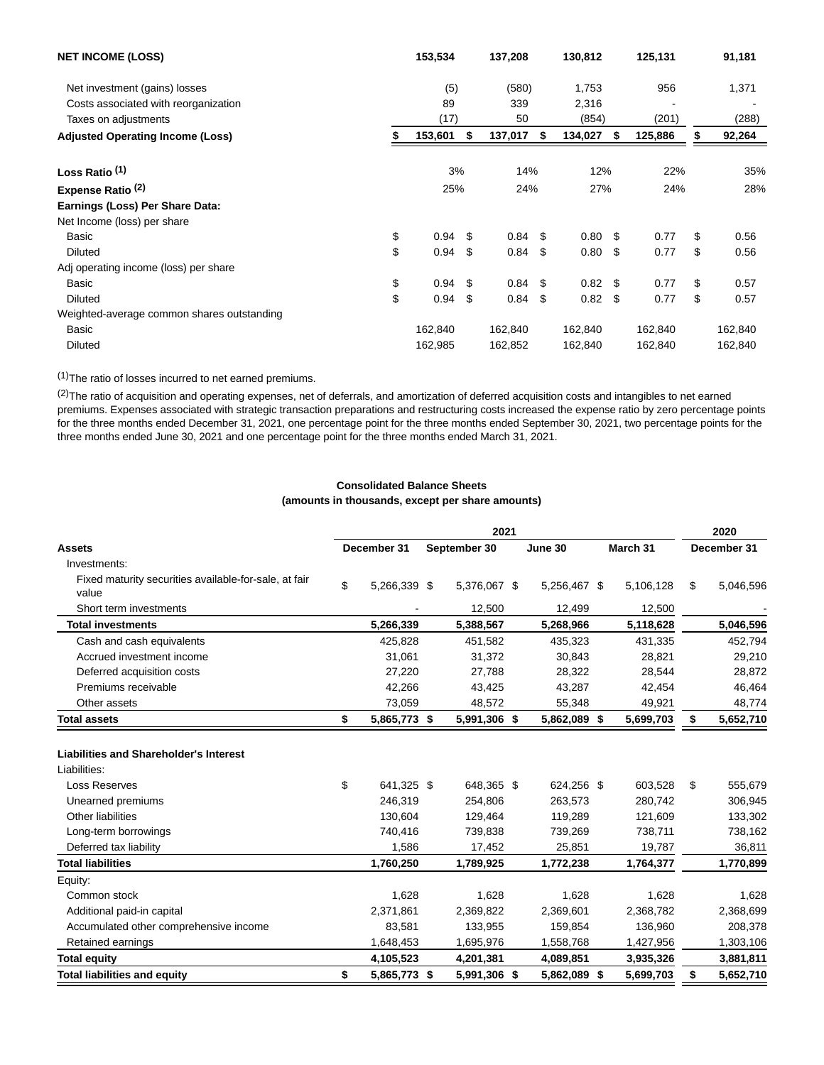| <b>NET INCOME (LOSS)</b>                   | 153,534 |    | 137,208   |      | 130,812   |     | 125,131 |    | 91,181  |  |
|--------------------------------------------|---------|----|-----------|------|-----------|-----|---------|----|---------|--|
| Net investment (gains) losses              | (5)     |    | (580)     |      | 1,753     |     | 956     |    | 1,371   |  |
| Costs associated with reorganization       | 89      |    | 339       |      | 2,316     |     |         |    |         |  |
| Taxes on adjustments                       | (17)    |    | 50        |      | (854)     |     | (201)   |    | (288)   |  |
| <b>Adjusted Operating Income (Loss)</b>    | 153,601 | \$ | 137,017   | \$   | 134,027   | \$  | 125,886 |    | 92,264  |  |
| Loss Ratio <sup>(1)</sup>                  | 3%      |    | 14%       |      | 12%       |     | 22%     |    | 35%     |  |
| Expense Ratio <sup>(2)</sup>               | 25%     |    | 24%       |      | 27%       |     | 24%     |    | 28%     |  |
| Earnings (Loss) Per Share Data:            |         |    |           |      |           |     |         |    |         |  |
| Net Income (loss) per share                |         |    |           |      |           |     |         |    |         |  |
| \$<br>Basic                                | 0.94    | \$ | $0.84$ \$ |      | 0.80      | -\$ | 0.77    | \$ | 0.56    |  |
| \$<br><b>Diluted</b>                       | 0.94    | \$ | 0.84      | \$   | 0.80      | -\$ | 0.77    | \$ | 0.56    |  |
| Adj operating income (loss) per share      |         |    |           |      |           |     |         |    |         |  |
| \$<br>Basic                                | 0.94    | \$ | 0.84      | - \$ | $0.82$ \$ |     | 0.77    | \$ | 0.57    |  |
| \$<br><b>Diluted</b>                       | 0.94    | \$ | 0.84      | \$   | 0.82      | \$  | 0.77    | \$ | 0.57    |  |
| Weighted-average common shares outstanding |         |    |           |      |           |     |         |    |         |  |
| Basic                                      | 162,840 |    | 162,840   |      | 162,840   |     | 162,840 |    | 162,840 |  |
| <b>Diluted</b>                             | 162,985 |    | 162,852   |      | 162,840   |     | 162,840 |    | 162,840 |  |

(1)The ratio of losses incurred to net earned premiums.

(2) The ratio of acquisition and operating expenses, net of deferrals, and amortization of deferred acquisition costs and intangibles to net earned premiums. Expenses associated with strategic transaction preparations and restructuring costs increased the expense ratio by zero percentage points for the three months ended December 31, 2021, one percentage point for the three months ended September 30, 2021, two percentage points for the three months ended June 30, 2021 and one percentage point for the three months ended March 31, 2021.

## **Consolidated Balance Sheets**

**(amounts in thousands, except per share amounts)**

|                                                                                                                                                  |                                                    | 2020                                        |  |                                             |  |                                             |  |                                          |    |                                          |
|--------------------------------------------------------------------------------------------------------------------------------------------------|----------------------------------------------------|---------------------------------------------|--|---------------------------------------------|--|---------------------------------------------|--|------------------------------------------|----|------------------------------------------|
| <b>Assets</b>                                                                                                                                    | March 31<br>December 31<br>September 30<br>June 30 |                                             |  |                                             |  |                                             |  | December 31                              |    |                                          |
| Investments:                                                                                                                                     |                                                    |                                             |  |                                             |  |                                             |  |                                          |    |                                          |
| Fixed maturity securities available-for-sale, at fair<br>value                                                                                   | \$                                                 | 5,266,339 \$                                |  | 5,376,067 \$                                |  | 5,256,467 \$                                |  | 5,106,128                                | \$ | 5,046,596                                |
| Short term investments                                                                                                                           |                                                    |                                             |  | 12,500                                      |  | 12,499                                      |  | 12,500                                   |    |                                          |
| <b>Total investments</b>                                                                                                                         |                                                    | 5,266,339                                   |  | 5,388,567                                   |  | 5,268,966                                   |  | 5,118,628                                |    | 5,046,596                                |
| Cash and cash equivalents                                                                                                                        |                                                    | 425,828                                     |  | 451,582                                     |  | 435,323                                     |  | 431,335                                  |    | 452,794                                  |
| Accrued investment income                                                                                                                        |                                                    | 31,061                                      |  | 31,372                                      |  | 30,843                                      |  | 28,821                                   |    | 29,210                                   |
| Deferred acquisition costs                                                                                                                       |                                                    | 27,220                                      |  | 27,788                                      |  | 28,322                                      |  | 28,544                                   |    | 28,872                                   |
| Premiums receivable                                                                                                                              |                                                    | 42,266                                      |  | 43,425                                      |  | 43,287                                      |  | 42,454                                   |    | 46,464                                   |
| Other assets                                                                                                                                     |                                                    | 73,059                                      |  | 48,572                                      |  | 55,348                                      |  | 49,921                                   |    | 48,774                                   |
| <b>Total assets</b>                                                                                                                              | \$                                                 | 5,865,773 \$                                |  | 5,991,306 \$                                |  | 5,862,089 \$                                |  | 5,699,703                                | \$ | 5,652,710                                |
| <b>Liabilities and Shareholder's Interest</b><br>Liabilities:<br>Loss Reserves<br>Unearned premiums<br>Other liabilities<br>Long-term borrowings | \$                                                 | 641,325 \$<br>246,319<br>130,604<br>740.416 |  | 648,365 \$<br>254,806<br>129,464<br>739,838 |  | 624,256 \$<br>263,573<br>119,289<br>739,269 |  | 603,528<br>280,742<br>121,609<br>738,711 | \$ | 555,679<br>306,945<br>133,302<br>738,162 |
| Deferred tax liability                                                                                                                           |                                                    | 1,586                                       |  | 17,452                                      |  | 25,851                                      |  | 19,787                                   |    | 36,811                                   |
| <b>Total liabilities</b>                                                                                                                         |                                                    | 1,760,250                                   |  | 1,789,925                                   |  | 1,772,238                                   |  | 1,764,377                                |    | 1,770,899                                |
| Equity:                                                                                                                                          |                                                    |                                             |  |                                             |  |                                             |  |                                          |    |                                          |
| Common stock                                                                                                                                     |                                                    | 1,628                                       |  | 1,628                                       |  | 1,628                                       |  | 1,628                                    |    | 1,628                                    |
| Additional paid-in capital                                                                                                                       |                                                    | 2,371,861                                   |  | 2,369,822                                   |  | 2,369,601                                   |  | 2,368,782                                |    | 2,368,699                                |
| Accumulated other comprehensive income                                                                                                           |                                                    | 83,581                                      |  | 133,955                                     |  | 159,854                                     |  | 136,960                                  |    | 208,378                                  |
| Retained earnings                                                                                                                                |                                                    | 1,648,453                                   |  | 1,695,976                                   |  | 1,558,768                                   |  | 1,427,956                                |    | 1,303,106                                |
| <b>Total equity</b>                                                                                                                              |                                                    | 4,105,523                                   |  | 4,201,381                                   |  | 4,089,851                                   |  | 3,935,326                                |    | 3,881,811                                |
| <b>Total liabilities and equity</b>                                                                                                              | \$                                                 | 5,865,773 \$                                |  | 5,991,306 \$                                |  | 5,862,089 \$                                |  | 5,699,703                                | \$ | 5,652,710                                |